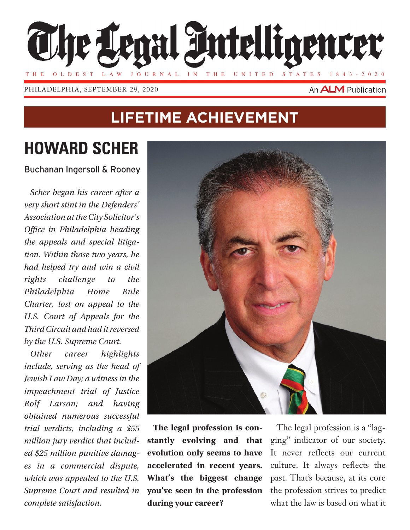

philadelphia, September 29, 2020

#### An **ALM** Publication

### **Lifetime Achievement**

# **Howard Scher**

Buchanan Ingersoll & Rooney

*Scher began his career after a very short stint in the Defenders' Association at the City Solicitor's Office in Philadelphia heading the appeals and special litigation. Within those two years, he had helped try and win a civil rights challenge to the Philadelphia Home Rule Charter, lost on appeal to the U.S. Court of Appeals for the Third Circuit and had it reversed by the U.S. Supreme Court.*

*Other career highlights include, serving as the head of Jewish Law Day; a witness in the impeachment trial of Justice Rolf Larson; and having obtained numerous successful trial verdicts, including a \$55 million jury verdict that included \$25 million punitive damages in a commercial dispute, which was appealed to the U.S. Supreme Court and resulted in complete satisfaction.*



**The legal profession is constantly evolving and that evolution only seems to have accelerated in recent years. What's the biggest change you've seen in the profession during your career?**

The legal profession is a "lagging" indicator of our society. It never reflects our current culture. It always reflects the past. That's because, at its core the profession strives to predict what the law is based on what it